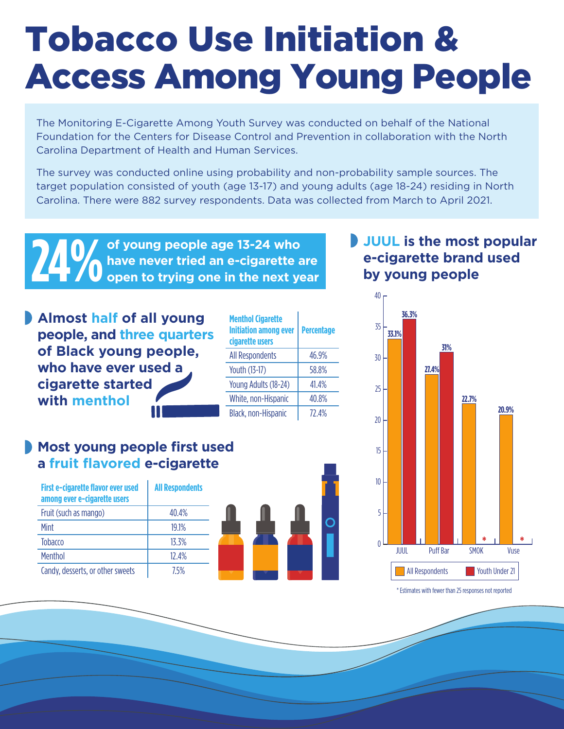## Tobacco Use Initiation & Access Among Young People

The Monitoring E-Cigarette Among Youth Survey was conducted on behalf of the National Foundation for the Centers for Disease Control and Prevention in collaboration with the North Carolina Department of Health and Human Services.

The survey was conducted online using probability and non-probability sample sources. The target population consisted of youth (age 13-17) and young adults (age 18-24) residing in North Carolina. There were 882 survey respondents. Data was collected from March to April 2021.

**24 MM** of young people age 13-24 who have never tried an e-cigarette are open to trying one in the next year **have never tried an e-cigarette are** 

**Almost half of all young people, and three quarters of Black young people, who have ever used a cigarette started with menthol**

|  | <b>Menthol Cigarette</b><br><b>Initiation among ever</b><br>cigarette users | <b>Percentage</b> |
|--|-----------------------------------------------------------------------------|-------------------|
|  | <b>All Respondents</b>                                                      | 46.9%             |
|  | Youth (13-17)                                                               | 58.8%             |
|  | Young Adults (18-24)                                                        | 41.4%             |
|  | White, non-Hispanic                                                         | 40.8%             |
|  | Black, non-Hispanic                                                         | 77 4%             |

### **Most young people first used a fruit flavored e-cigarette**

| First e-cigarette flavor ever used<br>among ever e-cigarette users | <b>All Respondents</b> |  |
|--------------------------------------------------------------------|------------------------|--|
| Fruit (such as mango)                                              | 40.4%                  |  |
| Mint                                                               | 191%                   |  |
| <b>Tobacco</b>                                                     | 13.3%                  |  |
| <b>Menthol</b>                                                     | 12 4%                  |  |
| Candy, desserts, or other sweets                                   | 75%                    |  |



#### **JUUL is the most popular e-cigarette brand used by young people**



\* Estimates with fewer than 25 responses not reported